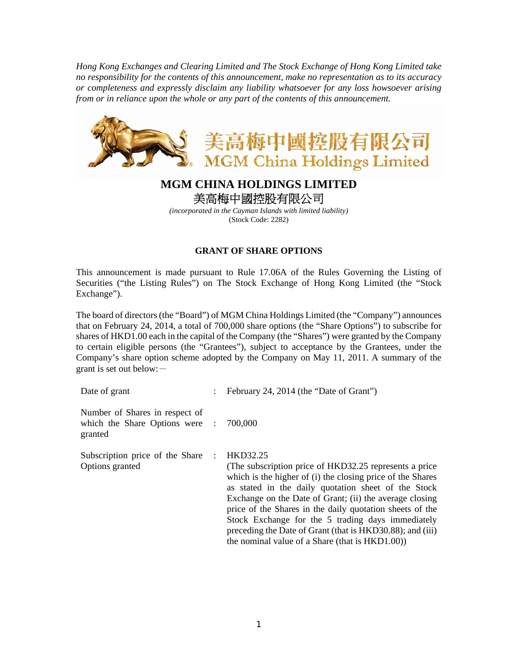*Hong Kong Exchanges and Clearing Limited and The Stock Exchange of Hong Kong Limited take no responsibility for the contents of this announcement, make no representation as to its accuracy or completeness and expressly disclaim any liability whatsoever for any loss howsoever arising from or in reliance upon the whole or any part of the contents of this announcement.* 



## **MGM CHINA HOLDINGS LIMITED**  美高梅中國控股有限公司

*(incorporated in the Cayman Islands with limited liability)*  (Stock Code: 2282)

## **GRANT OF SHARE OPTIONS**

This announcement is made pursuant to Rule 17.06A of the Rules Governing the Listing of Securities ("the Listing Rules") on The Stock Exchange of Hong Kong Limited (the "Stock Exchange").

The board of directors (the "Board") of MGM China Holdings Limited (the "Company") announces that on February 24, 2014, a total of 700,000 share options (the "Share Options") to subscribe for shares of HKD1.00 each in the capital of the Company (the "Shares") were granted by the Company to certain eligible persons (the "Grantees"), subject to acceptance by the Grantees, under the Company's share option scheme adopted by the Company on May 11, 2011. A summary of the grant is set out below: $-$ 

| Date of grant                                                               | February 24, 2014 (the "Date of Grant")                                                                                                                                                                                                                                                                                                                                                                                                                                              |
|-----------------------------------------------------------------------------|--------------------------------------------------------------------------------------------------------------------------------------------------------------------------------------------------------------------------------------------------------------------------------------------------------------------------------------------------------------------------------------------------------------------------------------------------------------------------------------|
| Number of Shares in respect of<br>which the Share Options were :<br>granted | 700,000                                                                                                                                                                                                                                                                                                                                                                                                                                                                              |
| Subscription price of the Share<br>Options granted                          | HKD32.25<br>(The subscription price of HKD32.25 represents a price)<br>which is the higher of (i) the closing price of the Shares<br>as stated in the daily quotation sheet of the Stock<br>Exchange on the Date of Grant; (ii) the average closing<br>price of the Shares in the daily quotation sheets of the<br>Stock Exchange for the 5 trading days immediately<br>preceding the Date of Grant (that is HKD30.88); and (iii)<br>the nominal value of a Share (that is HKD1.00)) |